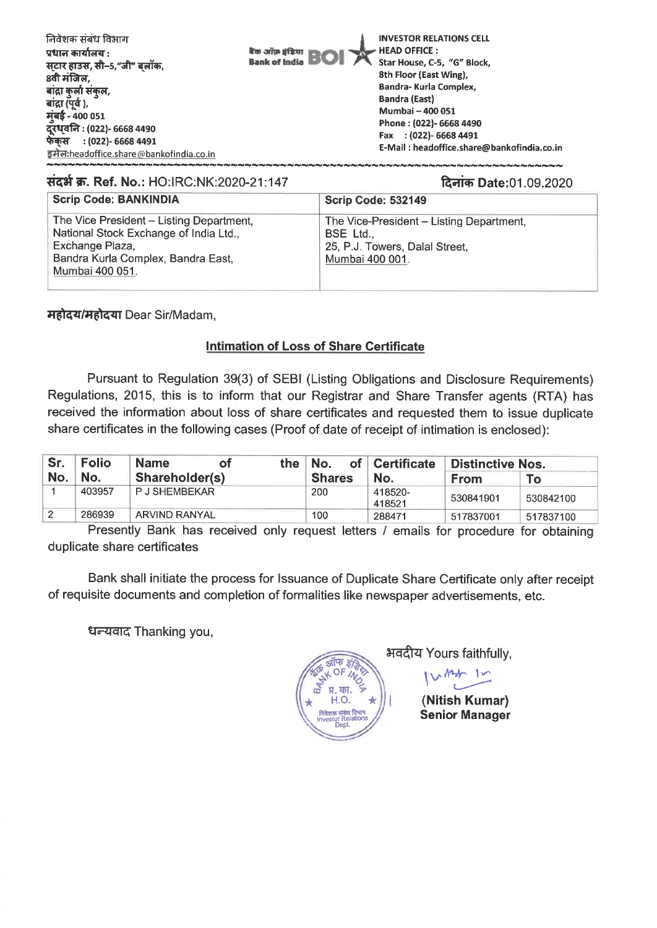| निवेशक संबंध विभाग<br>प्रधान कार्यालय :<br>स्टार हाउस, सी–5,"जी" बलॉक,<br>8वी मंजिल.<br>बांद्रा कुर्ला संकुल,<br>बांद्रा (पूर्व ),<br>मुंबई - 400 051<br>दूरध्वनि : (022)- 6668 4490<br>फेंकस : (022)- 6668 4491<br>इमेल:headoffice.share@bankofindia.co.in | <b>INVESTOR RELATIONS CELL</b><br>$\blacktriangleright$ HEAD OFFICE :<br><b><i><b>Kin after if BOI</b></i></b><br>Star House, C-5, "G" Block,<br>8th Floor (East Wing),<br>Bandra-Kurla Complex,<br><b>Bandra (East)</b><br>Mumbai - 400 051<br>Phone: (022)- 6668 4490<br>Fax : (022)-6668 4491<br>E-Mail: headoffice.share@bankofindia.co.in |
|-------------------------------------------------------------------------------------------------------------------------------------------------------------------------------------------------------------------------------------------------------------|------------------------------------------------------------------------------------------------------------------------------------------------------------------------------------------------------------------------------------------------------------------------------------------------------------------------------------------------|
|                                                                                                                                                                                                                                                             |                                                                                                                                                                                                                                                                                                                                                |

#### संदर्भ क्र. Ref. No.: HO:IRC:NK:2020-21:147

#### दिनांक Date:01.09.2020

| <b>Scrip Code: BANKINDIA</b>                                                                                                                                   | <b>Scrip Code: 532149</b>                                                                                |
|----------------------------------------------------------------------------------------------------------------------------------------------------------------|----------------------------------------------------------------------------------------------------------|
| The Vice President - Listing Department,<br>National Stock Exchange of India Ltd.,<br>Exchange Plaza,<br>Bandra Kurla Complex, Bandra East,<br>Mumbai 400 051. | The Vice-President – Listing Department,<br>BSE Ltd<br>25, P.J. Towers, Dalal Street,<br>Mumbai 400 001. |

**महोदय/महोदया Dear Sir/Madam,** 

### **Intimation of Loss of Share Certificate**

Pursuant to Regulation 39(3) of SEBI (Listing Obligations and Disclosure Requirements) Regulations, 2015, this is to inform that our Registrar and Share Transfer agents (RTA) has received the information about loss of share certificates and requested them to issue duplicate share certificates in the following cases (Proof of date of receipt of intimation is enclosed):

| Sr. | <b>Folio</b> | <b>Name</b><br>οf    | the I | ™No.<br>of    | Certificate       | <b>Distinctive Nos.</b> |           |
|-----|--------------|----------------------|-------|---------------|-------------------|-------------------------|-----------|
| No. | No.          | Shareholder(s)       |       | <b>Shares</b> | No.               | <b>From</b>             | To:       |
|     | 403957       | <b>PJ SHEMBEKAR</b>  |       | 200           | 418520-<br>418521 | 530841901               | 530842100 |
| 2   | 286939       | <b>ARVIND RANYAL</b> |       | 100           | 288471            | 517837001               | 517837100 |

Presently Bank has received only request letters / emails for procedure for obtaining duplicate share certificates

Bank shall initiate the process for Issuance of Duplicate Share Certificate only after receipt of requisite documents and completion of formalities like newspaper advertisements, etc.

धन्यवाद Thanking you,

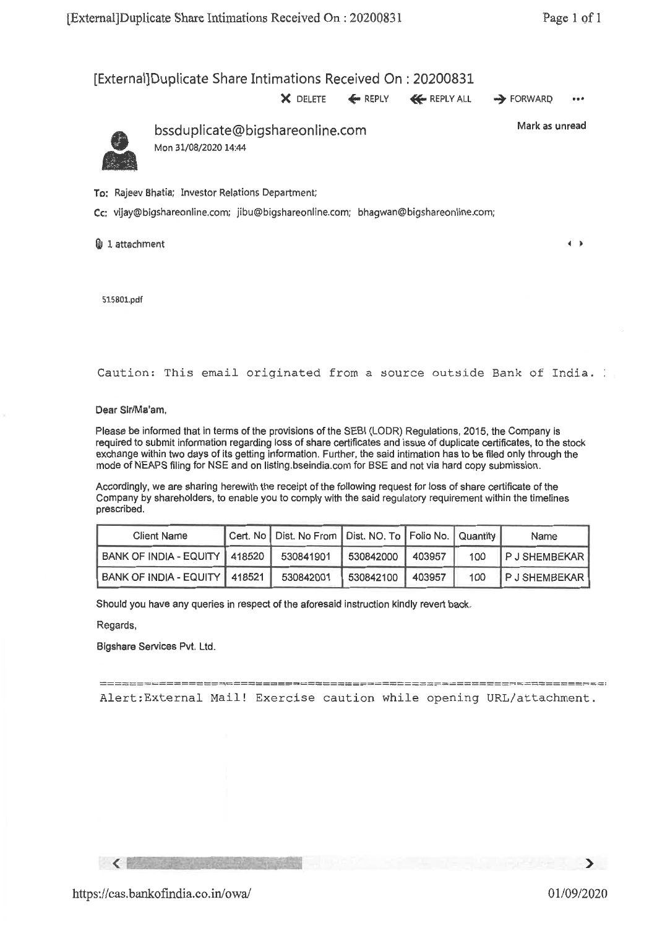$\leftarrow$ 

# [External]Duplicate Share Intimations Received On : 20200831

 $X$  DELETE  $\leftarrow$  REPLY  $\leftarrow$  REPLY ALL  $\rightarrow$  FORWARD ...

bssduplicate@bigshareonline.com Mark as unread Mon 31/08/2020 14:44

To: Rajeev Shatia; Investor Relations Department;

Cc: vijay@bigshareonline.com; jibu@bigshareonline.com; bhagwan@bigshareonline.com;

 $0$  1 attachment

515801.pdf

Caution: This email originated from a source outside Bank of India.

Dear Slr/Ma'am,

Please be informed that in terms of the provisions of the SEBI (LODR) Regulations, 2015, the Company is required to submit information regarding loss of share certificates and issue of duplicate certificates, to the stock exchange within two days of its getting information. Further, the said intimation has to be filed only through the mode of NEAPS filing for NSE and on listing.bseindia.com for BSE and not via hard copy submission.

Accordingly, we are sharing herewith the receipt of the following request for loss of share certificate of the Company by shareholders, to enable you to comply with the said regulatory requirement within the timelines prescribed.

| <b>Client Name</b>              | Cert. No   Dist. No From   Dist. NO. To   Folio No.   Quantity |                  |        |     | Name               |
|---------------------------------|----------------------------------------------------------------|------------------|--------|-----|--------------------|
| BANK OF INDIA - EQUITY   418520 | 530841901                                                      | 530842000        | 403957 | 100 | <b>PJSHEMBEKAR</b> |
| BANK OF INDIA - EQUITY   418521 | 530842001                                                      | 530842100 403957 |        | 100 | <b>PJSHEMBEKAR</b> |

Should you have any queries in respect of the aforesaid instruction kindly revert back.

Regards,

 $\langle$ 

Bigshare Services Pvt. Ltd.

Alert:External Mail! Exercise caution while opening URL/attachment.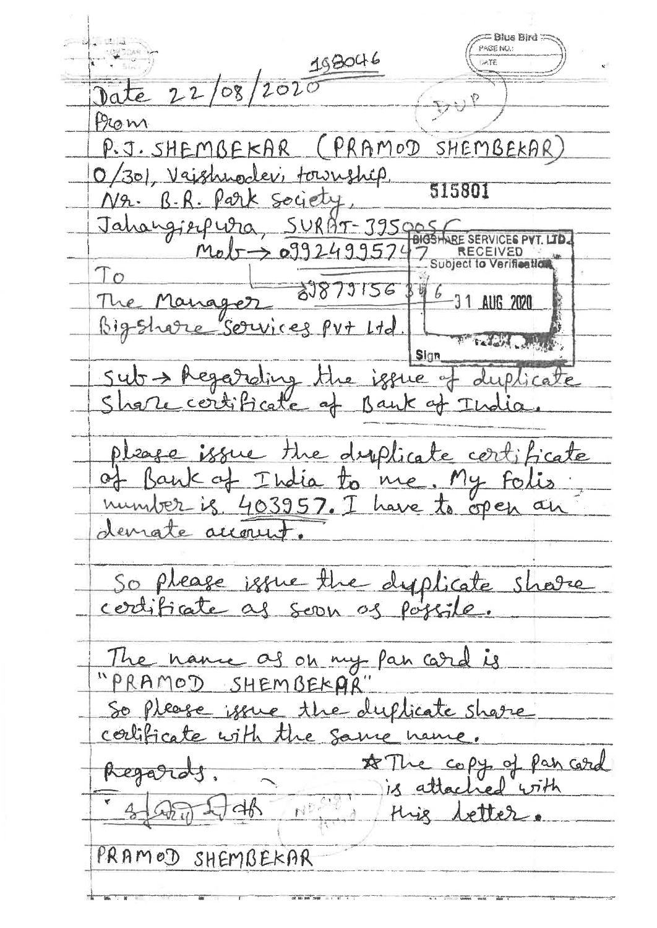= Blue Bird **PAGE NO.:** 198046  $575$  $22/08/202$ Prom PRAMOD SHEMBEKAR  $P. J. SHEMBFERAR$ (30), Vajshnodev, township 515801 R. Park Society  $\beta$ . Jahangierpura  $SURAT-3950$ BIGSHARE SERVICES PY mot  $0992499574$ RECEIVED<br>Subject to Verification  $To$ 21879156 Manager **AUG 2020** are Services Put Ltd Sign Regarding the issue of duplicate  $540$ of Bank of Beate the diplicate certificate issue K of India to me. My foli<br>- is 403957. I have to open a ia to me  $\alpha$ demate account So please issue the dyplicate possile The name as on my pan card is "PRAMOD SHEMBEKA" So please you the duplicate share confidence with the same copy of pan card  $x\mathcal{T}$ Regards is attac tred  $57+h$  $46$  $\mathbb{N}^{\mathbb{D}}$ Hig etter PRAMOD SHEMBEKAR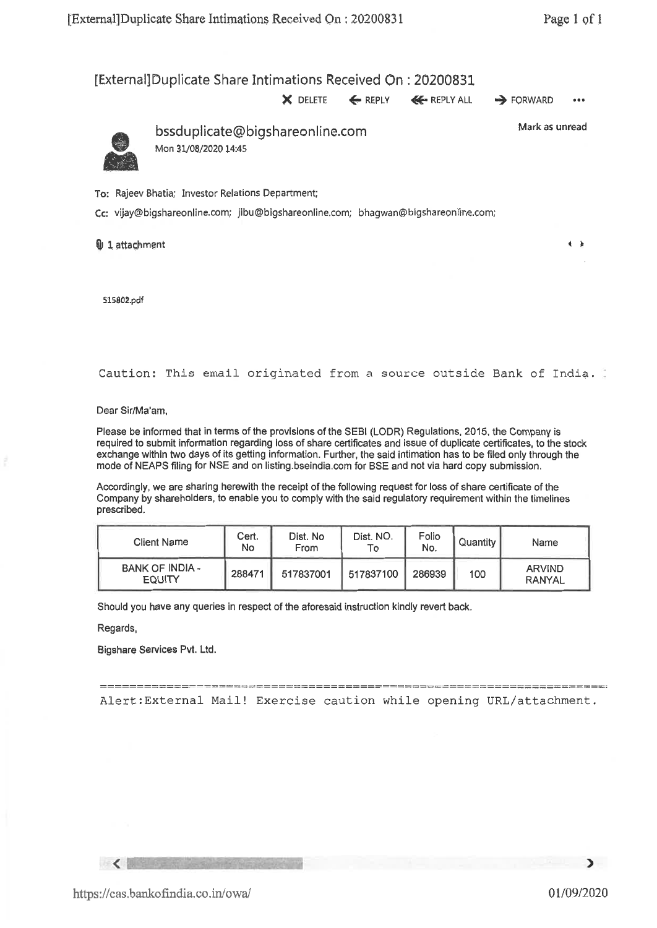$\leftrightarrow$ 

## [External]Duplicate Share Intimations Received On : 20200831

**X** DELETE ← REPLY ← REPLY ALL → FORWARD •••

Mark as unread



bssduplicate@bigshareonline.com Mon 31/08/2020 14:45

To: Rajeev Bhatia; Investor Relations Department;

Cc: vijay@bigshareonline.com; jibu@bigshareonline.com; bhagwan@bigshareonline.com;

 $0$  1 attachment

**515802.pclf** 

Caution: This email originated from a source outside Bank of India.

Dear Sir/Ma'am,

Please be informed that in terms of the provisions of the SEBI (LODR) Regulations, 2015, the Company is required to submit information regarding loss of share certificates and issue of duplicate certificates, to the stock exchange within two days of its getting information. Further, the said intimation has to be filed only through the mode of NEAPS filing for NSE and on listing.bseindia.com for BSE and not via hard copy submission.

Accordingly, we are sharing herewith the receipt of the following request for loss of share certificate of the Company by shareholders, to enable you to comply with the said regulatory requirement within the timelines prescribed.

| Client Name                             | Cert.<br><b>No</b> | Dist. No<br>From | Dist. NO.<br>To | Folio<br>No. | Quantity I | Name                           |
|-----------------------------------------|--------------------|------------------|-----------------|--------------|------------|--------------------------------|
| <b>BANK OF INDIA -</b><br><b>EQUITY</b> | 288471             | 517837001        | 517837100       | 286939       | 100        | <b>ARVIND</b><br><b>RANYAL</b> |

Should you have any queries in respect of the aforesaid instruction kindly revert back.

\_42

Regards,

 $\sim$ 

Bigshare Services Pvt. Ltd.

Alert:External Mail! Exercise caution while opening URL/attachment.

 $\mathbf{\Sigma}$